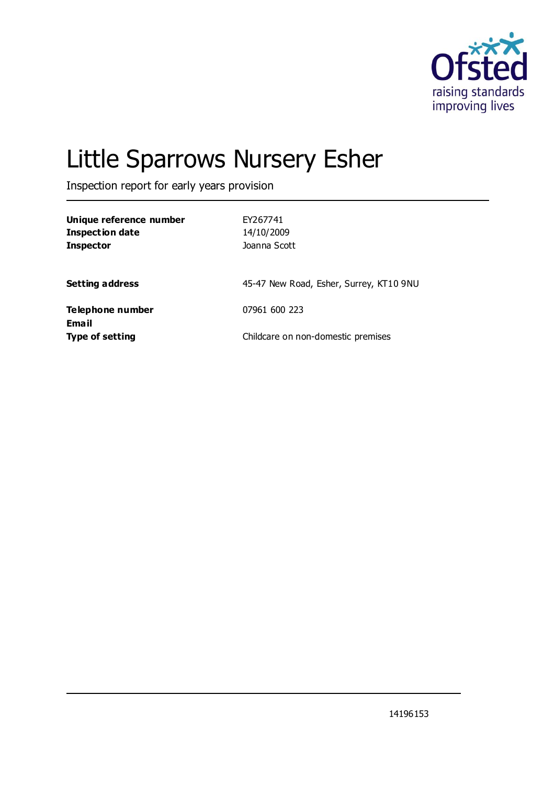

# Little Sparrows Nursery Esher

Inspection report for early years provision

| Unique reference number<br><b>Inspection date</b><br><b>Inspector</b> | EY267741<br>14/10/2009<br>Joanna Scott  |
|-----------------------------------------------------------------------|-----------------------------------------|
| <b>Setting address</b>                                                | 45-47 New Road, Esher, Surrey, KT10 9NU |
| Telephone number                                                      | 07961 600 223                           |
| Email<br><b>Type of setting</b>                                       | Childcare on non-domestic premises      |

14196153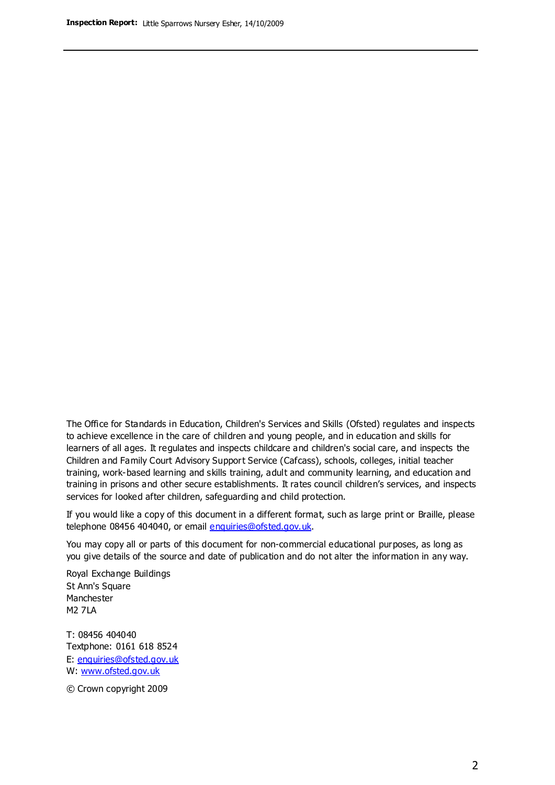The Office for Standards in Education, Children's Services and Skills (Ofsted) regulates and inspects to achieve excellence in the care of children and young people, and in education and skills for learners of all ages. It regulates and inspects childcare and children's social care, and inspects the Children and Family Court Advisory Support Service (Cafcass), schools, colleges, initial teacher training, work-based learning and skills training, adult and community learning, and education and training in prisons and other secure establishments. It rates council children's services, and inspects services for looked after children, safeguarding and child protection.

If you would like a copy of this document in a different format, such as large print or Braille, please telephone 08456 404040, or email enquiries@ofsted.gov.uk.

You may copy all or parts of this document for non-commercial educational purposes, as long as you give details of the source and date of publication and do not alter the information in any way.

Royal Exchange Buildings St Ann's Square Manchester M2 7LA

T: 08456 404040 Textphone: 0161 618 8524 E: enquiries@ofsted.gov.uk W: [www.ofsted.gov.uk](http://www.ofsted.gov.uk/)

© Crown copyright 2009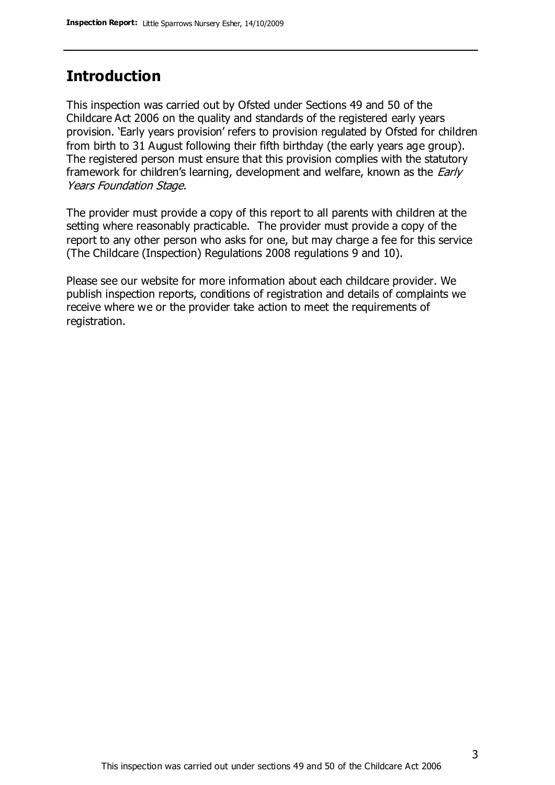### **Introduction**

This inspection was carried out by Ofsted under Sections 49 and 50 of the Childcare Act 2006 on the quality and standards of the registered early years provision. 'Early years provision' refers to provision regulated by Ofsted for children from birth to 31 August following their fifth birthday (the early years age group). The registered person must ensure that this provision complies with the statutory framework for children's learning, development and welfare, known as the *Early* Years Foundation Stage.

The provider must provide a copy of this report to all parents with children at the setting where reasonably practicable. The provider must provide a copy of the report to any other person who asks for one, but may charge a fee for this service (The Childcare (Inspection) Regulations 2008 regulations 9 and 10).

Please see our website for more information about each childcare provider. We publish inspection reports, conditions of registration and details of complaints we receive where we or the provider take action to meet the requirements of registration.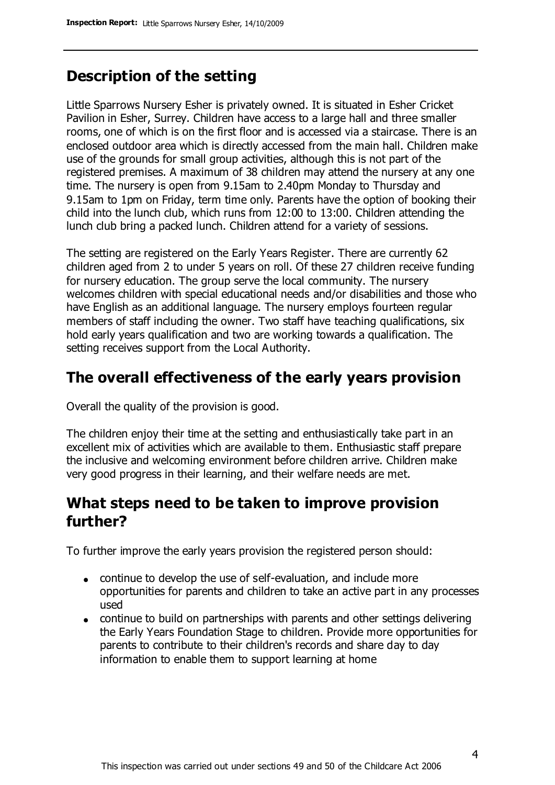## **Description of the setting**

Little Sparrows Nursery Esher is privately owned. It is situated in Esher Cricket Pavilion in Esher, Surrey. Children have access to a large hall and three smaller rooms, one of which is on the first floor and is accessed via a staircase. There is an enclosed outdoor area which is directly accessed from the main hall. Children make use of the grounds for small group activities, although this is not part of the registered premises. A maximum of 38 children may attend the nursery at any one time. The nursery is open from 9.15am to 2.40pm Monday to Thursday and 9.15am to 1pm on Friday, term time only. Parents have the option of booking their child into the lunch club, which runs from 12:00 to 13:00. Children attending the lunch club bring a packed lunch. Children attend for a variety of sessions.

The setting are registered on the Early Years Register. There are currently 62 children aged from 2 to under 5 years on roll. Of these 27 children receive funding for nursery education. The group serve the local community. The nursery welcomes children with special educational needs and/or disabilities and those who have English as an additional language. The nursery employs fourteen regular members of staff including the owner. Two staff have teaching qualifications, six hold early years qualification and two are working towards a qualification. The setting receives support from the Local Authority.

#### **The overall effectiveness of the early years provision**

Overall the quality of the provision is good.

The children enjoy their time at the setting and enthusiastically take part in an excellent mix of activities which are available to them. Enthusiastic staff prepare the inclusive and welcoming environment before children arrive. Children make very good progress in their learning, and their welfare needs are met.

### **What steps need to be taken to improve provision further?**

To further improve the early years provision the registered person should:

- continue to develop the use of self-evaluation, and include more opportunities for parents and children to take an active part in any processes used
- continue to build on partnerships with parents and other settings delivering the Early Years Foundation Stage to children. Provide more opportunities for parents to contribute to their children's records and share day to day information to enable them to support learning at home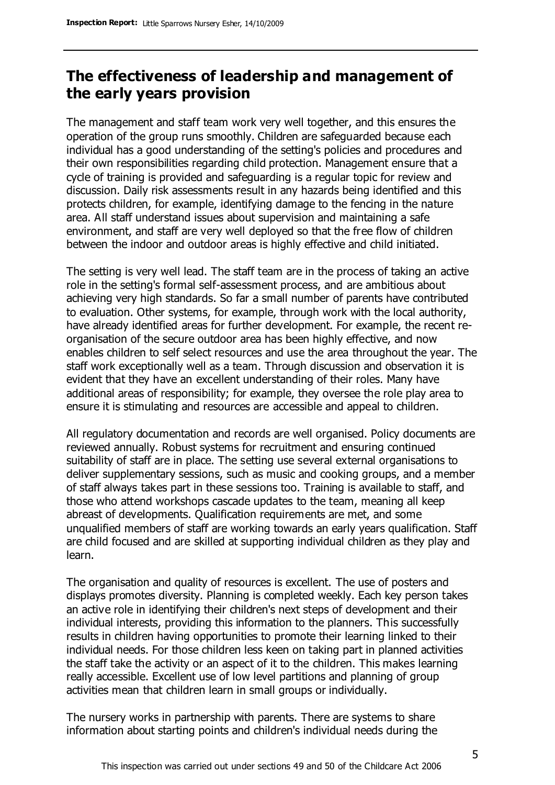## **The effectiveness of leadership and management of the early years provision**

The management and staff team work very well together, and this ensures the operation of the group runs smoothly. Children are safeguarded because each individual has a good understanding of the setting's policies and procedures and their own responsibilities regarding child protection. Management ensure that a cycle of training is provided and safeguarding is a regular topic for review and discussion. Daily risk assessments result in any hazards being identified and this protects children, for example, identifying damage to the fencing in the nature area. All staff understand issues about supervision and maintaining a safe environment, and staff are very well deployed so that the free flow of children between the indoor and outdoor areas is highly effective and child initiated.

The setting is very well lead. The staff team are in the process of taking an active role in the setting's formal self-assessment process, and are ambitious about achieving very high standards. So far a small number of parents have contributed to evaluation. Other systems, for example, through work with the local authority, have already identified areas for further development. For example, the recent reorganisation of the secure outdoor area has been highly effective, and now enables children to self select resources and use the area throughout the year. The staff work exceptionally well as a team. Through discussion and observation it is evident that they have an excellent understanding of their roles. Many have additional areas of responsibility; for example, they oversee the role play area to ensure it is stimulating and resources are accessible and appeal to children.

All regulatory documentation and records are well organised. Policy documents are reviewed annually. Robust systems for recruitment and ensuring continued suitability of staff are in place. The setting use several external organisations to deliver supplementary sessions, such as music and cooking groups, and a member of staff always takes part in these sessions too. Training is available to staff, and those who attend workshops cascade updates to the team, meaning all keep abreast of developments. Qualification requirements are met, and some unqualified members of staff are working towards an early years qualification. Staff are child focused and are skilled at supporting individual children as they play and learn.

The organisation and quality of resources is excellent. The use of posters and displays promotes diversity. Planning is completed weekly. Each key person takes an active role in identifying their children's next steps of development and their individual interests, providing this information to the planners. This successfully results in children having opportunities to promote their learning linked to their individual needs. For those children less keen on taking part in planned activities the staff take the activity or an aspect of it to the children. This makes learning really accessible. Excellent use of low level partitions and planning of group activities mean that children learn in small groups or individually.

The nursery works in partnership with parents. There are systems to share information about starting points and children's individual needs during the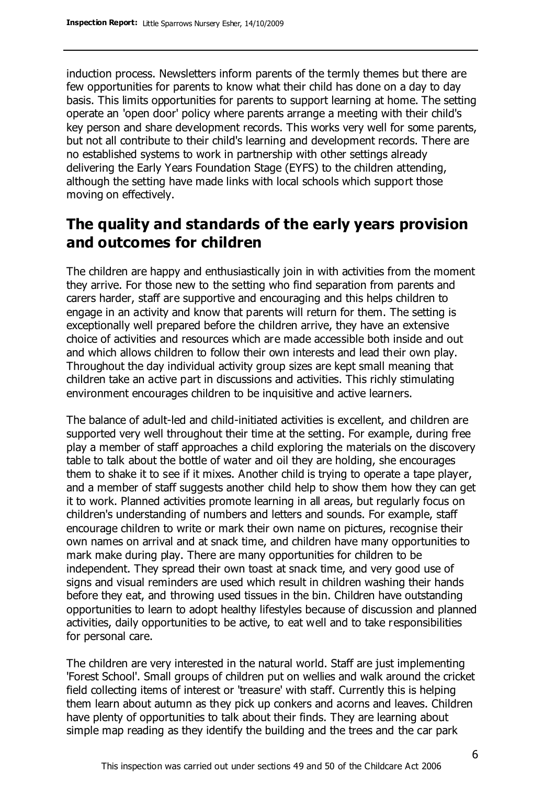induction process. Newsletters inform parents of the termly themes but there are few opportunities for parents to know what their child has done on a day to day basis. This limits opportunities for parents to support learning at home. The setting operate an 'open door' policy where parents arrange a meeting with their child's key person and share development records. This works very well for some parents, but not all contribute to their child's learning and development records. There are no established systems to work in partnership with other settings already delivering the Early Years Foundation Stage (EYFS) to the children attending, although the setting have made links with local schools which support those moving on effectively.

## **The quality and standards of the early years provision and outcomes for children**

The children are happy and enthusiastically join in with activities from the moment they arrive. For those new to the setting who find separation from parents and carers harder, staff are supportive and encouraging and this helps children to engage in an activity and know that parents will return for them. The setting is exceptionally well prepared before the children arrive, they have an extensive choice of activities and resources which are made accessible both inside and out and which allows children to follow their own interests and lead their own play. Throughout the day individual activity group sizes are kept small meaning that children take an active part in discussions and activities. This richly stimulating environment encourages children to be inquisitive and active learners.

The balance of adult-led and child-initiated activities is excellent, and children are supported very well throughout their time at the setting. For example, during free play a member of staff approaches a child exploring the materials on the discovery table to talk about the bottle of water and oil they are holding, she encourages them to shake it to see if it mixes. Another child is trying to operate a tape player, and a member of staff suggests another child help to show them how they can get it to work. Planned activities promote learning in all areas, but regularly focus on children's understanding of numbers and letters and sounds. For example, staff encourage children to write or mark their own name on pictures, recognise their own names on arrival and at snack time, and children have many opportunities to mark make during play. There are many opportunities for children to be independent. They spread their own toast at snack time, and very good use of signs and visual reminders are used which result in children washing their hands before they eat, and throwing used tissues in the bin. Children have outstanding opportunities to learn to adopt healthy lifestyles because of discussion and planned activities, daily opportunities to be active, to eat well and to take responsibilities for personal care.

The children are very interested in the natural world. Staff are just implementing 'Forest School'. Small groups of children put on wellies and walk around the cricket field collecting items of interest or 'treasure' with staff. Currently this is helping them learn about autumn as they pick up conkers and acorns and leaves. Children have plenty of opportunities to talk about their finds. They are learning about simple map reading as they identify the building and the trees and the car park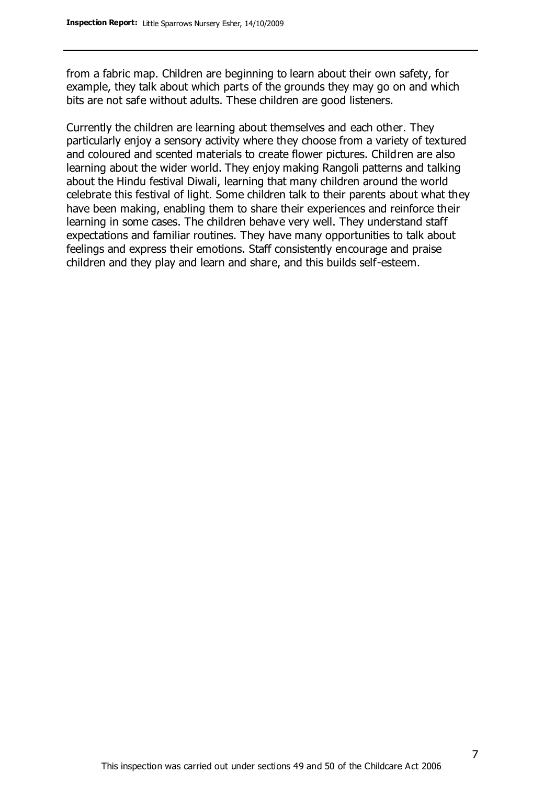from a fabric map. Children are beginning to learn about their own safety, for example, they talk about which parts of the grounds they may go on and which bits are not safe without adults. These children are good listeners.

Currently the children are learning about themselves and each other. They particularly enjoy a sensory activity where they choose from a variety of textured and coloured and scented materials to create flower pictures. Children are also learning about the wider world. They enjoy making Rangoli patterns and talking about the Hindu festival Diwali, learning that many children around the world celebrate this festival of light. Some children talk to their parents about what they have been making, enabling them to share their experiences and reinforce their learning in some cases. The children behave very well. They understand staff expectations and familiar routines. They have many opportunities to talk about feelings and express their emotions. Staff consistently encourage and praise children and they play and learn and share, and this builds self-esteem.